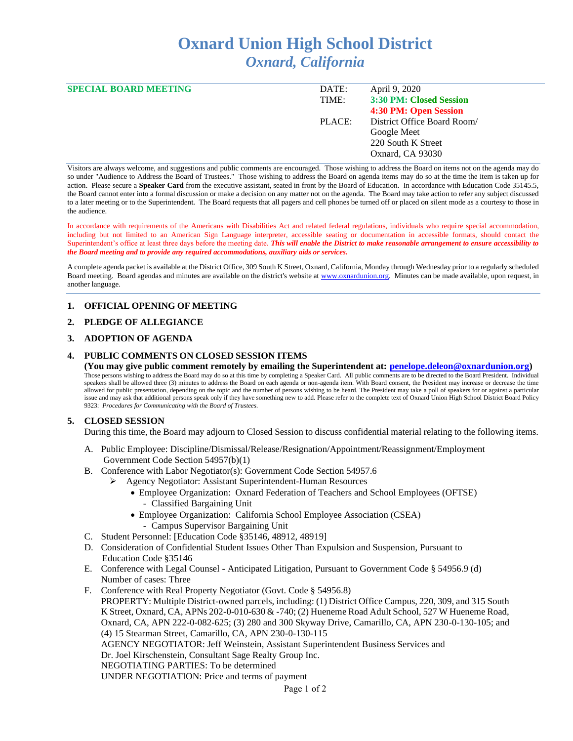# **Oxnard Union High School District** *Oxnard, California*

| <b>SPECIAL BOARD MEETING</b> | DATE:  | April 9, 2020               |  |
|------------------------------|--------|-----------------------------|--|
|                              | TIME:  | 3:30 PM: Closed Session     |  |
|                              |        | 4:30 PM: Open Session       |  |
|                              | PLACE: | District Office Board Room/ |  |
|                              |        | Google Meet                 |  |
|                              |        | 220 South K Street          |  |
|                              |        | Oxnard, CA 93030            |  |
|                              |        |                             |  |

Visitors are always welcome, and suggestions and public comments are encouraged. Those wishing to address the Board on items not on the agenda may do so under "Audience to Address the Board of Trustees." Those wishing to address the Board on agenda items may do so at the time the item is taken up for action. Please secure a **Speaker Card** from the executive assistant, seated in front by the Board of Education. In accordance with Education Code 35145.5, the Board cannot enter into a formal discussion or make a decision on any matter not on the agenda. The Board may take action to refer any subject discussed to a later meeting or to the Superintendent. The Board requests that all pagers and cell phones be turned off or placed on silent mode as a courtesy to those in the audience.

In accordance with requirements of the Americans with Disabilities Act and related federal regulations, individuals who require special accommodation, including but not limited to an American Sign Language interpreter, accessible seating or documentation in accessible formats, should contact the Superintendent's office at least three days before the meeting date. *This will enable the District to make reasonable arrangement to ensure accessibility to the Board meeting and to provide any required accommodations, auxiliary aids or services.* 

A complete agenda packet is available at the District Office, 309 South K Street, Oxnard, California, Monday through Wednesday prior to a regularly scheduled Board meeting. Board agendas and minutes are available on the district's website at [www.oxnardunion.org.](http://www.oxnardunion.org/)Minutes can be made available, upon request, in another language.

## **1. OFFICIAL OPENING OF MEETING**

## **2. PLEDGE OF ALLEGIANCE**

## **3. ADOPTION OF AGENDA**

## **4. PUBLIC COMMENTS ON CLOSED SESSION ITEMS**

**(You may give public comment remotely by emailing the Superintendent at: [penelope.deleon@oxnardunion.org\)](mailto:penelope.deleon@oxnardunion.org)** Those persons wishing to address the Board may do so at this time by completing a Speaker Card. All public comments are to be directed to the Board President. Individual speakers shall be allowed three (3) minutes to address the Board on each agenda or non-agenda item. With Board consent, the President may increase or decrease the time allowed for public presentation, depending on the topic and the number of persons wishing to be heard. The President may take a poll of speakers for or against a particular issue and may ask that additional persons speak only if they have something new to add. Please refer to the complete text of Oxnard Union High School District Board Policy 9323: *Procedures for Communicating with the Board of Trustees.*

## **5. CLOSED SESSION**

During this time, the Board may adjourn to Closed Session to discuss confidential material relating to the following items.

- A. Public Employee: Discipline/Dismissal/Release/Resignation/Appointment/Reassignment/Employment Government Code Section 54957(b)(1)
- B. Conference with Labor Negotiator(s): Government Code Section 54957.6
	- ➢ Agency Negotiator: Assistant Superintendent-Human Resources
		- Employee Organization: Oxnard Federation of Teachers and School Employees (OFTSE) - Classified Bargaining Unit
		- Employee Organization: California School Employee Association (CSEA) - Campus Supervisor Bargaining Unit
- C. Student Personnel: [Education Code §35146, 48912, 48919]
- D. Consideration of Confidential Student Issues Other Than Expulsion and Suspension, Pursuant to Education Code §35146
- E. Conference with Legal Counsel Anticipated Litigation, Pursuant to Government Code § 54956.9 (d) Number of cases: Three
- F. Conference with Real Property Negotiator (Govt. Code § 54956.8) PROPERTY: Multiple District-owned parcels, including: (1) District Office Campus, 220, 309, and 315 South K Street, Oxnard, CA, APNs 202-0-010-630 & -740; (2) Hueneme Road Adult School, 527 W Hueneme Road, Oxnard, CA, APN 222-0-082-625; (3) 280 and 300 Skyway Drive, Camarillo, CA, APN 230-0-130-105; and (4) 15 Stearman Street, Camarillo, CA, APN 230-0-130-115 AGENCY NEGOTIATOR: Jeff Weinstein, Assistant Superintendent Business Services and Dr. Joel Kirschenstein, Consultant Sage Realty Group Inc. NEGOTIATING PARTIES: To be determined UNDER NEGOTIATION: Price and terms of payment

Page 1 of 2